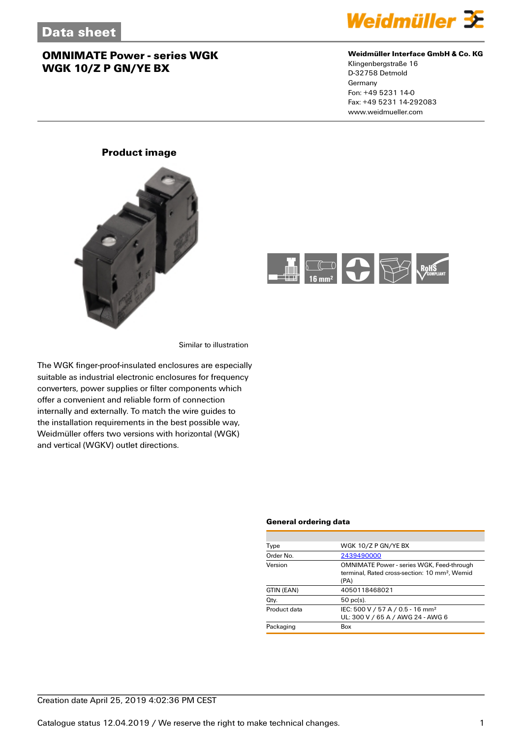

#### **Weidmüller Interface GmbH & Co. KG**

Klingenbergstraße 16 D-32758 Detmold Germany Fon: +49 5231 14-0 Fax: +49 5231 14-292083 www.weidmueller.com

### **Product image**





Similar to illustration

The WGK finger-proof-insulated enclosures are especially suitable as industrial electronic enclosures for frequency converters, power supplies or filter components which offer a convenient and reliable form of connection internally and externally. To match the wire guides to the installation requirements in the best possible way, Weidmüller offers two versions with horizontal (WGK) and vertical (WGKV) outlet directions.

#### **General ordering data**

| Type         | WGK 10/Z P GN/YE BX                                                                                                   |
|--------------|-----------------------------------------------------------------------------------------------------------------------|
| Order No.    | 2439490000                                                                                                            |
| Version      | <b>OMNIMATE Power - series WGK, Feed-through</b><br>terminal. Rated cross-section: 10 mm <sup>2</sup> . Wemid<br>(PA) |
| GTIN (EAN)   | 4050118468021                                                                                                         |
| Qty.         | $50$ pc(s).                                                                                                           |
| Product data | IEC: 500 V / 57 A / 0.5 - 16 mm <sup>2</sup><br>UL: 300 V / 65 A / AWG 24 - AWG 6                                     |
| Packaging    | Box                                                                                                                   |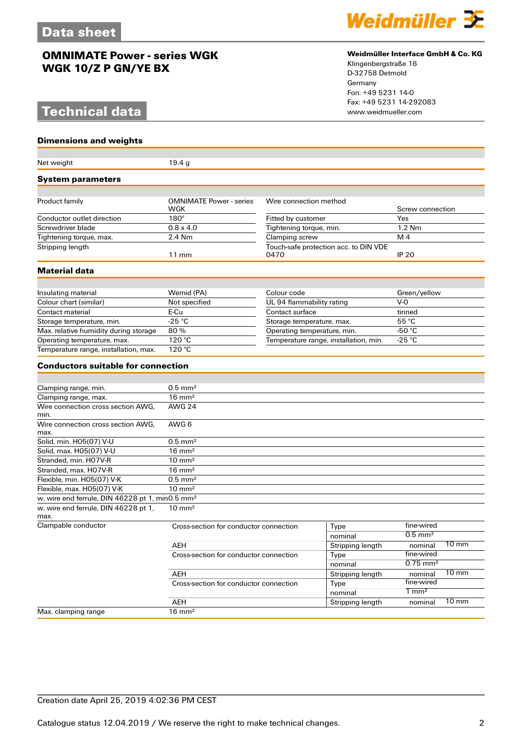## **Technical data**

#### **Dimensions and weights**

| Net weight                                                  | 19.4 g                                                           |                             |                                       |                            |  |
|-------------------------------------------------------------|------------------------------------------------------------------|-----------------------------|---------------------------------------|----------------------------|--|
| <b>System parameters</b>                                    |                                                                  |                             |                                       |                            |  |
| Product family                                              | <b>OMNIMATE Power - series</b>                                   | Wire connection method      |                                       |                            |  |
|                                                             | WGK                                                              |                             |                                       | Screw connection           |  |
| Conductor outlet direction                                  | $180^\circ$                                                      | Fitted by customer          |                                       | Yes                        |  |
| Screwdriver blade                                           | $0.8 \times 4.0$                                                 | Tightening torque, min.     |                                       | 1.2 Nm                     |  |
| Tightening torque, max.                                     | 2.4 Nm                                                           | Clamping screw              |                                       | M 4                        |  |
| Stripping length                                            | Touch-safe protection acc. to DIN VDE<br>0470<br>$11 \text{ mm}$ |                             | <b>IP 20</b>                          |                            |  |
| Material data                                               |                                                                  |                             |                                       |                            |  |
|                                                             |                                                                  |                             |                                       |                            |  |
| Insulating material                                         | Wemid (PA)                                                       | Colour code                 |                                       | Green/yellow               |  |
| Colour chart (similar)                                      | Not specified                                                    | UL 94 flammability rating   |                                       | $V-0$                      |  |
| Contact material                                            | E-Cu                                                             | Contact surface             |                                       | tinned                     |  |
| Storage temperature, min.                                   | $-25$ °C                                                         | Storage temperature, max.   |                                       | 55 °C                      |  |
| Max. relative humidity during storage                       | 80%                                                              | Operating temperature, min. |                                       | -50 $°C$                   |  |
| Operating temperature, max.                                 | 120 °C                                                           |                             | Temperature range, installation, min. | $-25 °C$                   |  |
| Temperature range, installation, max.                       | 120 °C                                                           |                             |                                       |                            |  |
| <b>Conductors suitable for connection</b>                   |                                                                  |                             |                                       |                            |  |
|                                                             |                                                                  |                             |                                       |                            |  |
| Clamping range, min.                                        | $0.5$ mm <sup>2</sup>                                            |                             |                                       |                            |  |
| Clamping range, max.                                        | $16 \text{ mm}^2$                                                |                             |                                       |                            |  |
| Wire connection cross section AWG,                          | <b>AWG 24</b>                                                    |                             |                                       |                            |  |
| min.                                                        |                                                                  |                             |                                       |                            |  |
| Wire connection cross section AWG,<br>max.                  | AWG 6                                                            |                             |                                       |                            |  |
| Solid, min. H05(07) V-U                                     | $0.5$ mm <sup>2</sup>                                            |                             |                                       |                            |  |
| Solid, max. H05(07) V-U                                     | $16 \text{ mm}^2$                                                |                             |                                       |                            |  |
| Stranded, min. H07V-R                                       | $10 \text{ mm}^2$                                                |                             |                                       |                            |  |
| Stranded, max. H07V-R                                       | $16 \text{ mm}^2$                                                |                             |                                       |                            |  |
| Flexible, min. H05(07) V-K                                  | $0.5$ mm <sup>2</sup>                                            |                             |                                       |                            |  |
| Flexible, max. H05(07) V-K                                  | $10 \text{ mm}^2$                                                |                             |                                       |                            |  |
| w. wire end ferrule, DIN 46228 pt 1, min0.5 mm <sup>2</sup> |                                                                  |                             |                                       |                            |  |
| w. wire end ferrule, DIN 46228 pt 1,<br>max.                | $10 \text{ mm}^2$                                                |                             |                                       |                            |  |
| Clampable conductor                                         | Cross-section for conductor connection                           |                             | Type                                  | fine-wired                 |  |
|                                                             |                                                                  |                             | nominal                               | $0.5$ mm <sup>2</sup>      |  |
|                                                             | AEH                                                              |                             | Stripping length                      | $10 \text{ mm}$<br>nominal |  |
|                                                             | Cross-section for conductor connection                           |                             | Type                                  | fine-wired                 |  |
|                                                             |                                                                  |                             | nominal                               | $0.75$ mm <sup>2</sup>     |  |
|                                                             | AEH                                                              |                             | Stripping length                      | $10 \text{ mm}$<br>nominal |  |
|                                                             | Cross-section for conductor connection                           |                             | Type                                  | fine-wired                 |  |
|                                                             |                                                                  |                             | nominal                               | $1 \text{ mm}^2$           |  |
|                                                             | AEH                                                              |                             | Stripping length                      | $10 \text{ mm}$<br>nominal |  |
| Max. clamping range                                         | $16 \text{ mm}^2$                                                |                             |                                       |                            |  |



#### **Weidmüller Interface GmbH & Co. KG**

Klingenbergstraße 16 D-32758 Detmold Germany Fon: +49 5231 14-0 Fax: +49 5231 14-292083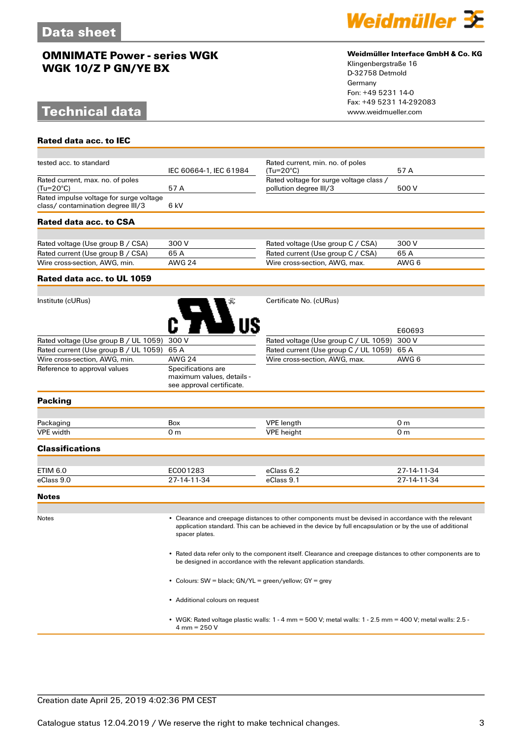## **Technical data**

**Rated data acc. to IEC**

tested acc. to standard



#### **Weidmüller Interface GmbH & Co. KG**

Klingenbergstraße 16 D-32758 Detmold Germany Fon: +49 5231 14-0 Fax: +49 5231 14-292083

Rated current, min. no. of poles

| ισοισα αυν. ιυ οιαπασιν                       | IEC 60664-1, IEC 61984                                                       | nated current, mini. no. or poles<br>$(Tu=20^{\circ}C)$                                                                                                                                                                                                                                                                                                                                                    | 57 A           |
|-----------------------------------------------|------------------------------------------------------------------------------|------------------------------------------------------------------------------------------------------------------------------------------------------------------------------------------------------------------------------------------------------------------------------------------------------------------------------------------------------------------------------------------------------------|----------------|
| Rated current, max. no. of poles<br>(Tu=20°C) | 57 A                                                                         | Rated voltage for surge voltage class /<br>pollution degree III/3                                                                                                                                                                                                                                                                                                                                          | 500 V          |
| Rated impulse voltage for surge voltage       |                                                                              |                                                                                                                                                                                                                                                                                                                                                                                                            |                |
| class/ contamination degree III/3             | 6 kV                                                                         |                                                                                                                                                                                                                                                                                                                                                                                                            |                |
| Rated data acc. to CSA                        |                                                                              |                                                                                                                                                                                                                                                                                                                                                                                                            |                |
|                                               |                                                                              |                                                                                                                                                                                                                                                                                                                                                                                                            |                |
| Rated voltage (Use group B / CSA)             | 300 V                                                                        | Rated voltage (Use group C / CSA)                                                                                                                                                                                                                                                                                                                                                                          | 300 V          |
| Rated current (Use group B / CSA)             | 65 A                                                                         | Rated current (Use group C / CSA)                                                                                                                                                                                                                                                                                                                                                                          | 65 A           |
| Wire cross-section, AWG, min.                 | <b>AWG 24</b>                                                                | Wire cross-section, AWG, max.                                                                                                                                                                                                                                                                                                                                                                              | AWG 6          |
| Rated data acc. to UL 1059                    |                                                                              |                                                                                                                                                                                                                                                                                                                                                                                                            |                |
|                                               |                                                                              |                                                                                                                                                                                                                                                                                                                                                                                                            |                |
| Institute (cURus)                             |                                                                              | Certificate No. (cURus)                                                                                                                                                                                                                                                                                                                                                                                    |                |
|                                               |                                                                              |                                                                                                                                                                                                                                                                                                                                                                                                            | E60693         |
| Rated voltage (Use group B / UL 1059)         | 300 V                                                                        | Rated voltage (Use group C / UL 1059)                                                                                                                                                                                                                                                                                                                                                                      | 300 V          |
| Rated current (Use group B / UL 1059)         | 65 A                                                                         | Rated current (Use group C / UL 1059)                                                                                                                                                                                                                                                                                                                                                                      | 65 A           |
| Wire cross-section, AWG, min.                 | <b>AWG 24</b>                                                                | Wire cross-section, AWG, max.                                                                                                                                                                                                                                                                                                                                                                              | AWG 6          |
| Reference to approval values                  | Specifications are<br>maximum values, details -<br>see approval certificate. |                                                                                                                                                                                                                                                                                                                                                                                                            |                |
| Packing                                       |                                                                              |                                                                                                                                                                                                                                                                                                                                                                                                            |                |
|                                               |                                                                              |                                                                                                                                                                                                                                                                                                                                                                                                            |                |
| Packaging                                     | Box                                                                          | <b>VPE</b> length                                                                                                                                                                                                                                                                                                                                                                                          | 0 <sub>m</sub> |
| VPE width                                     | 0 <sub>m</sub>                                                               | <b>VPE</b> height                                                                                                                                                                                                                                                                                                                                                                                          | 0 <sub>m</sub> |
| Classifications                               |                                                                              |                                                                                                                                                                                                                                                                                                                                                                                                            |                |
|                                               |                                                                              |                                                                                                                                                                                                                                                                                                                                                                                                            |                |
| ETIM 6.0                                      | EC001283                                                                     | eClass 6.2                                                                                                                                                                                                                                                                                                                                                                                                 | 27-14-11-34    |
| eClass 9.0                                    | 27-14-11-34                                                                  | eClass 9.1                                                                                                                                                                                                                                                                                                                                                                                                 | 27-14-11-34    |
| <b>Notes</b>                                  |                                                                              |                                                                                                                                                                                                                                                                                                                                                                                                            |                |
| Notes                                         | spacer plates.                                                               | • Clearance and creepage distances to other components must be devised in accordance with the relevant<br>application standard. This can be achieved in the device by full encapsulation or by the use of additional<br>• Rated data refer only to the component itself. Clearance and creepage distances to other components are to<br>be designed in accordance with the relevant application standards. |                |
|                                               |                                                                              |                                                                                                                                                                                                                                                                                                                                                                                                            |                |

• Colours: SW = black; GN/YL = green/yellow; GY = grey

• Additional colours on request

• WGK: Rated voltage plastic walls: 1 - 4 mm = 500 V; metal walls: 1 - 2.5 mm = 400 V; metal walls: 2.5 - 4 mm = 250 V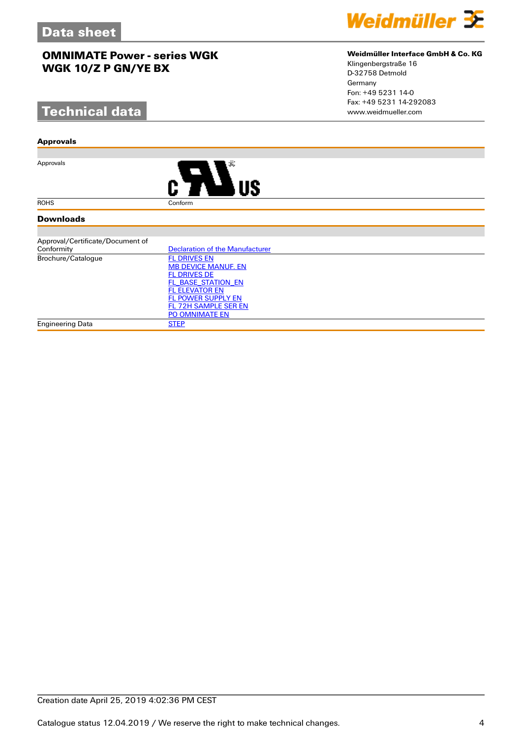# **Technical data**

#### **Approvals**

Approvals



#### **Downloads**

| Approval/Certificate/Document of |                                        |
|----------------------------------|----------------------------------------|
| Conformity                       | <b>Declaration of the Manufacturer</b> |
| Brochure/Catalogue               | <b>FL DRIVES EN</b>                    |
|                                  | <b>MB DEVICE MANUF. EN</b>             |
|                                  | <b>FL DRIVES DE</b>                    |
|                                  | FL BASE STATION EN                     |
|                                  | <b>FL ELEVATOR EN</b>                  |
|                                  | <b>FL POWER SUPPLY EN</b>              |
|                                  | FL 72H SAMPLE SER EN                   |
|                                  | <b>PO OMNIMATE EN</b>                  |
| Engineering Data                 | <b>STEP</b>                            |



#### **Weidmüller Interface GmbH & Co. KG**

Klingenbergstraße 16 D-32758 Detmold Germany Fon: +49 5231 14-0 Fax: +49 5231 14-292083